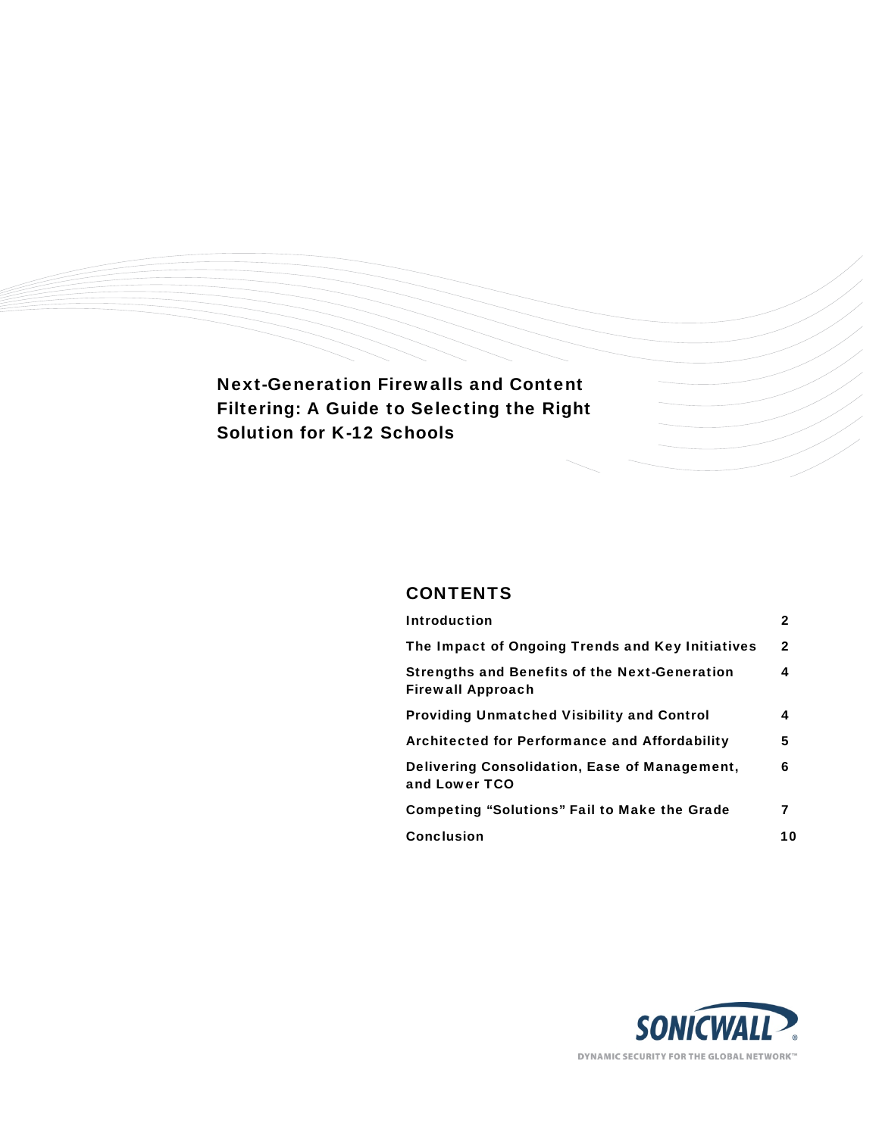Next-Generation Firewalls and Content Filtering: A Guide to Selecting the Right Solution for K-12 Schools

# **CONTENTS**

| <b>Introduction</b>                                                              | 2            |
|----------------------------------------------------------------------------------|--------------|
| The Impact of Ongoing Trends and Key Initiatives                                 | $\mathbf{2}$ |
| <b>Strengths and Benefits of the Next-Generation</b><br><b>Firewall Approach</b> | 4            |
| <b>Providing Unmatched Visibility and Control</b>                                | 4            |
| <b>Architected for Performance and Affordability</b>                             | 5            |
| Delivering Consolidation, Ease of Management,<br>and Lower TCO                   | 6            |
| <b>Competing "Solutions" Fail to Make the Grade</b>                              | 7            |
| <b>Conclusion</b>                                                                | 10           |

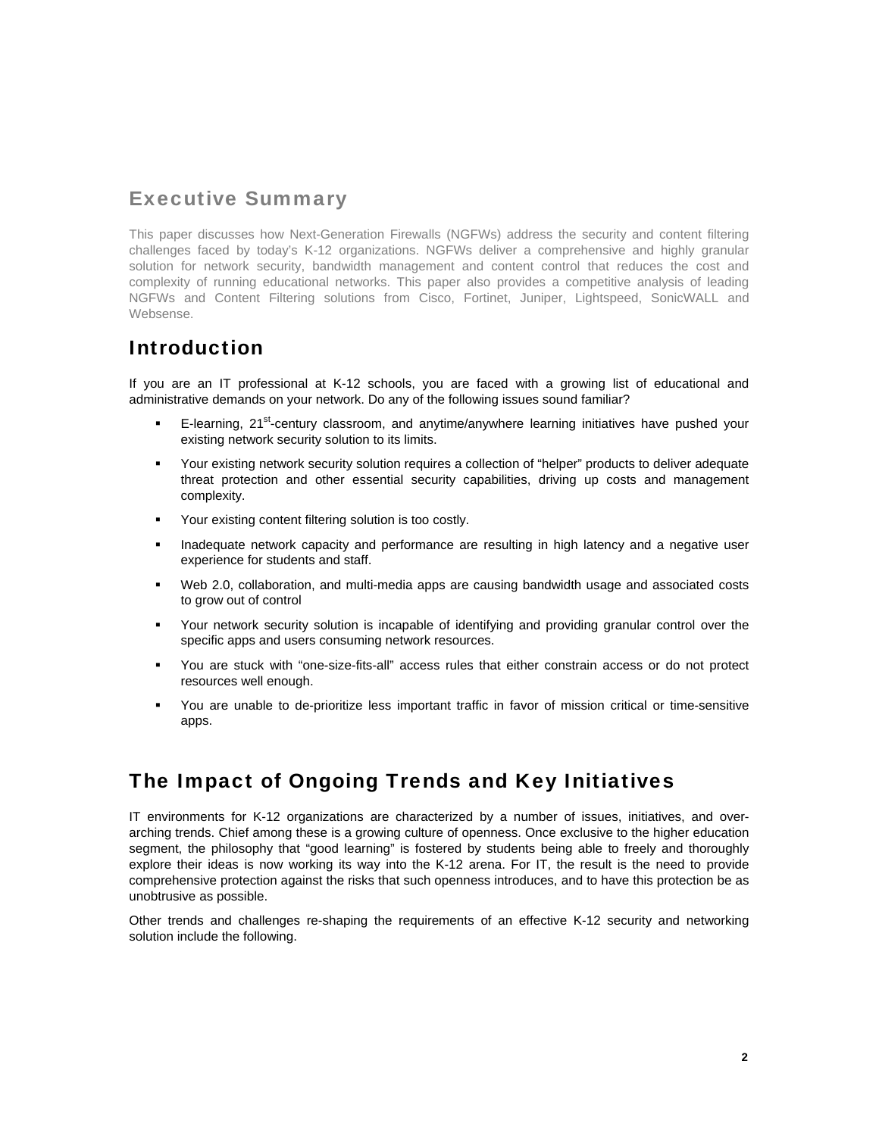# Executive Summary

This paper discusses how Next-Generation Firewalls (NGFWs) address the security and content filtering challenges faced by today's K-12 organizations. NGFWs deliver a comprehensive and highly granular solution for network security, bandwidth management and content control that reduces the cost and complexity of running educational networks. This paper also provides a competitive analysis of leading NGFWs and Content Filtering solutions from Cisco, Fortinet, Juniper, Lightspeed, SonicWALL and Websense.

# Introduction

If you are an IT professional at K-12 schools, you are faced with a growing list of educational and administrative demands on your network. Do any of the following issues sound familiar?

- E-learning,  $21^{st}$ -century classroom, and anytime/anywhere learning initiatives have pushed your existing network security solution to its limits.
- Your existing network security solution requires a collection of "helper" products to deliver adequate threat protection and other essential security capabilities, driving up costs and management complexity.
- Your existing content filtering solution is too costly.
- **Inadequate network capacity and performance are resulting in high latency and a negative user** experience for students and staff.
- Web 2.0, collaboration, and multi-media apps are causing bandwidth usage and associated costs to grow out of control
- Your network security solution is incapable of identifying and providing granular control over the specific apps and users consuming network resources.
- You are stuck with "one-size-fits-all" access rules that either constrain access or do not protect resources well enough.
- You are unable to de-prioritize less important traffic in favor of mission critical or time-sensitive apps.

# The Impact of Ongoing Trends and Key Initiatives

IT environments for K-12 organizations are characterized by a number of issues, initiatives, and overarching trends. Chief among these is a growing culture of openness. Once exclusive to the higher education segment, the philosophy that "good learning" is fostered by students being able to freely and thoroughly explore their ideas is now working its way into the K-12 arena. For IT, the result is the need to provide comprehensive protection against the risks that such openness introduces, and to have this protection be as unobtrusive as possible.

Other trends and challenges re-shaping the requirements of an effective K-12 security and networking solution include the following.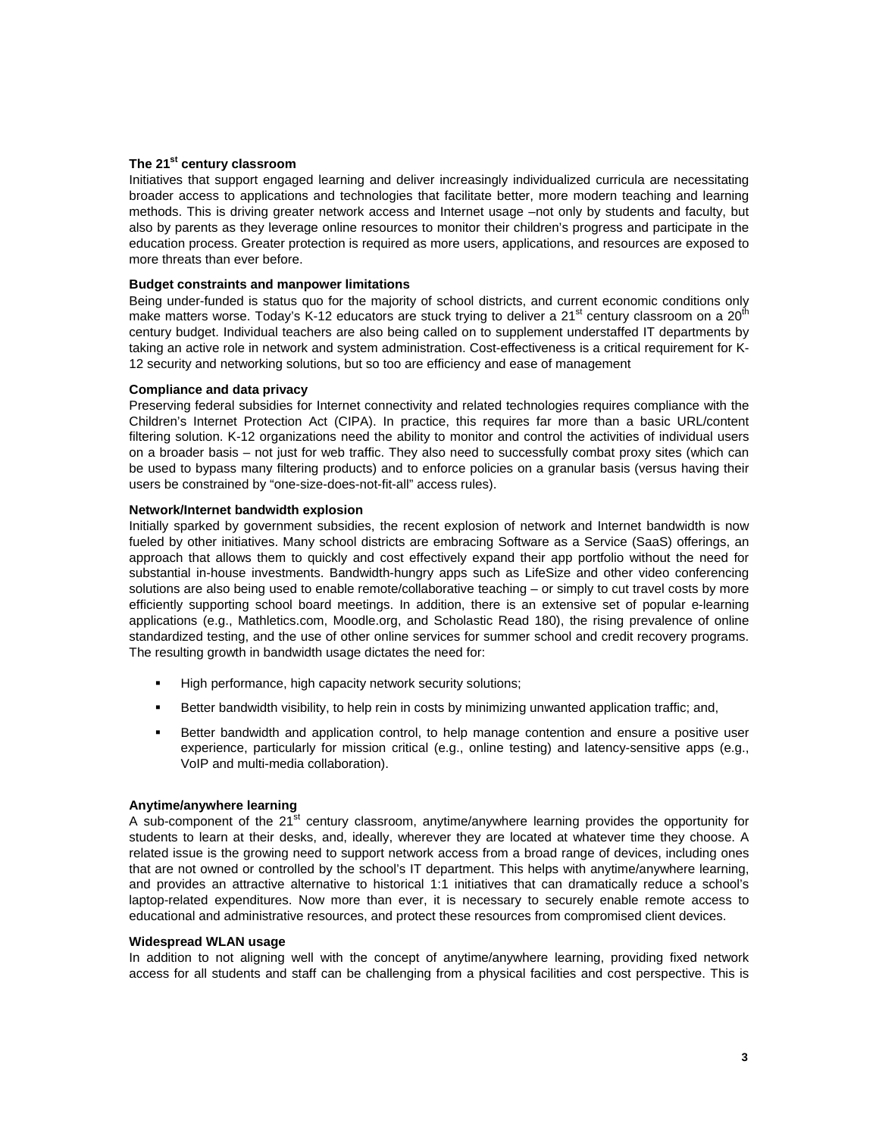## **The 21st century classroom**

Initiatives that support engaged learning and deliver increasingly individualized curricula are necessitating broader access to applications and technologies that facilitate better, more modern teaching and learning methods. This is driving greater network access and Internet usage –not only by students and faculty, but also by parents as they leverage online resources to monitor their children's progress and participate in the education process. Greater protection is required as more users, applications, and resources are exposed to more threats than ever before.

# **Budget constraints and manpower limitations**

Being under-funded is status quo for the majority of school districts, and current economic conditions only make matters worse. Today's K-12 educators are stuck trying to deliver a 21<sup>st</sup> century classroom on a 20<sup>th</sup> century budget. Individual teachers are also being called on to supplement understaffed IT departments by taking an active role in network and system administration. Cost-effectiveness is a critical requirement for K-12 security and networking solutions, but so too are efficiency and ease of management

### **Compliance and data privacy**

Preserving federal subsidies for Internet connectivity and related technologies requires compliance with the Children's Internet Protection Act (CIPA). In practice, this requires far more than a basic URL/content filtering solution. K-12 organizations need the ability to monitor and control the activities of individual users on a broader basis – not just for web traffic. They also need to successfully combat proxy sites (which can be used to bypass many filtering products) and to enforce policies on a granular basis (versus having their users be constrained by "one-size-does-not-fit-all" access rules).

### **Network/Internet bandwidth explosion**

Initially sparked by government subsidies, the recent explosion of network and Internet bandwidth is now fueled by other initiatives. Many school districts are embracing Software as a Service (SaaS) offerings, an approach that allows them to quickly and cost effectively expand their app portfolio without the need for substantial in-house investments. Bandwidth-hungry apps such as LifeSize and other video conferencing solutions are also being used to enable remote/collaborative teaching – or simply to cut travel costs by more efficiently supporting school board meetings. In addition, there is an extensive set of popular e-learning applications (e.g., Mathletics.com, Moodle.org, and Scholastic Read 180), the rising prevalence of online standardized testing, and the use of other online services for summer school and credit recovery programs. The resulting growth in bandwidth usage dictates the need for:

- **High performance, high capacity network security solutions;**
- Better bandwidth visibility, to help rein in costs by minimizing unwanted application traffic; and,
- Better bandwidth and application control, to help manage contention and ensure a positive user experience, particularly for mission critical (e.g., online testing) and latency-sensitive apps (e.g., VoIP and multi-media collaboration).

## **Anytime/anywhere learning**

A sub-component of the 21<sup>st</sup> century classroom, anytime/anywhere learning provides the opportunity for students to learn at their desks, and, ideally, wherever they are located at whatever time they choose. A related issue is the growing need to support network access from a broad range of devices, including ones that are not owned or controlled by the school's IT department. This helps with anytime/anywhere learning, and provides an attractive alternative to historical 1:1 initiatives that can dramatically reduce a school's laptop-related expenditures. Now more than ever, it is necessary to securely enable remote access to educational and administrative resources, and protect these resources from compromised client devices.

#### **Widespread WLAN usage**

In addition to not aligning well with the concept of anytime/anywhere learning, providing fixed network access for all students and staff can be challenging from a physical facilities and cost perspective. This is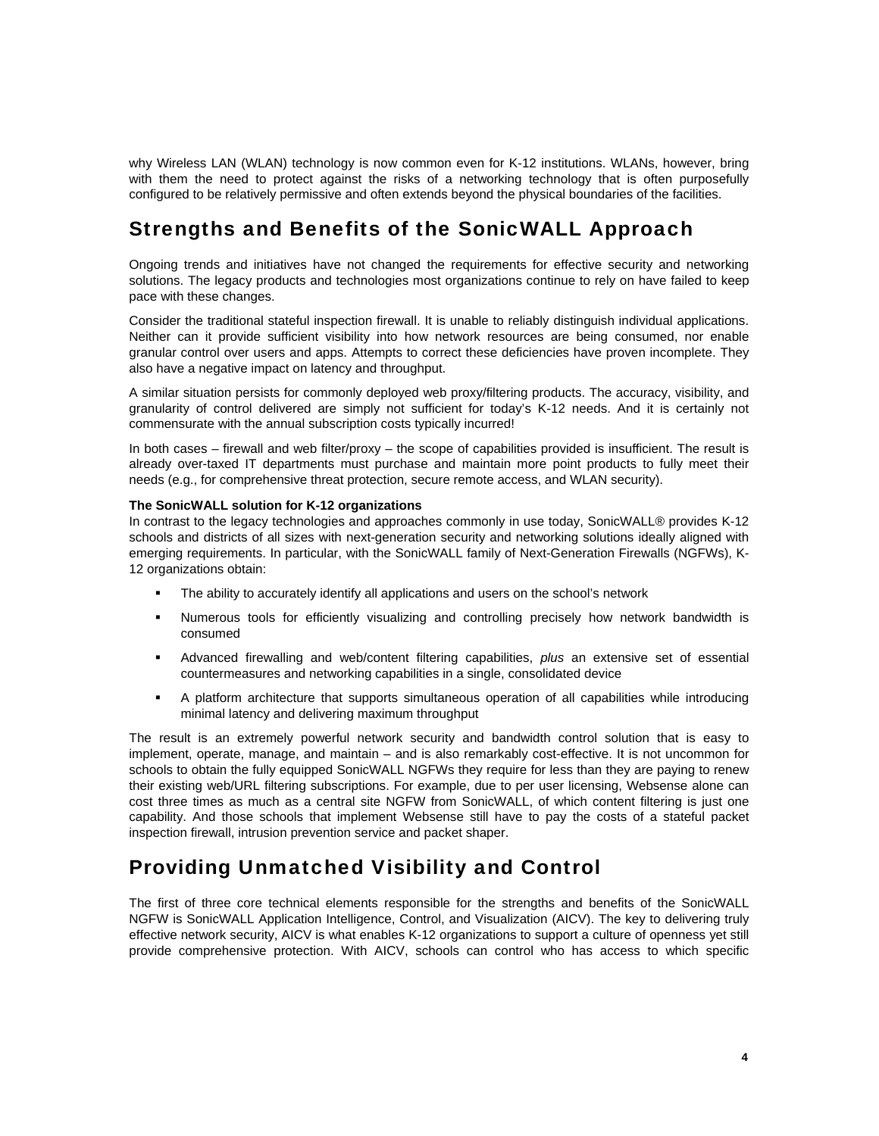why Wireless LAN (WLAN) technology is now common even for K-12 institutions. WLANs, however, bring with them the need to protect against the risks of a networking technology that is often purposefully configured to be relatively permissive and often extends beyond the physical boundaries of the facilities.

# Strengths and Benefits of the SonicWALL Approach

Ongoing trends and initiatives have not changed the requirements for effective security and networking solutions. The legacy products and technologies most organizations continue to rely on have failed to keep pace with these changes.

Consider the traditional stateful inspection firewall. It is unable to reliably distinguish individual applications. Neither can it provide sufficient visibility into how network resources are being consumed, nor enable granular control over users and apps. Attempts to correct these deficiencies have proven incomplete. They also have a negative impact on latency and throughput.

A similar situation persists for commonly deployed web proxy/filtering products. The accuracy, visibility, and granularity of control delivered are simply not sufficient for today's K-12 needs. And it is certainly not commensurate with the annual subscription costs typically incurred!

In both cases – firewall and web filter/proxy – the scope of capabilities provided is insufficient. The result is already over-taxed IT departments must purchase and maintain more point products to fully meet their needs (e.g., for comprehensive threat protection, secure remote access, and WLAN security).

## **The SonicWALL solution for K-12 organizations**

In contrast to the legacy technologies and approaches commonly in use today, SonicWALL® provides K-12 schools and districts of all sizes with next-generation security and networking solutions ideally aligned with emerging requirements. In particular, with the SonicWALL family of Next-Generation Firewalls (NGFWs), K-12 organizations obtain:

- The ability to accurately identify all applications and users on the school's network
- Numerous tools for efficiently visualizing and controlling precisely how network bandwidth is consumed
- Advanced firewalling and web/content filtering capabilities, *plus* an extensive set of essential countermeasures and networking capabilities in a single, consolidated device
- A platform architecture that supports simultaneous operation of all capabilities while introducing minimal latency and delivering maximum throughput

The result is an extremely powerful network security and bandwidth control solution that is easy to implement, operate, manage, and maintain – and is also remarkably cost-effective. It is not uncommon for schools to obtain the fully equipped SonicWALL NGFWs they require for less than they are paying to renew their existing web/URL filtering subscriptions. For example, due to per user licensing, Websense alone can cost three times as much as a central site NGFW from SonicWALL, of which content filtering is just one capability. And those schools that implement Websense still have to pay the costs of a stateful packet inspection firewall, intrusion prevention service and packet shaper.

# Providing Unmatched Visibility and Control

The first of three core technical elements responsible for the strengths and benefits of the SonicWALL NGFW is SonicWALL Application Intelligence, Control, and Visualization (AICV). The key to delivering truly effective network security, AICV is what enables K-12 organizations to support a culture of openness yet still provide comprehensive protection. With AICV, schools can control who has access to which specific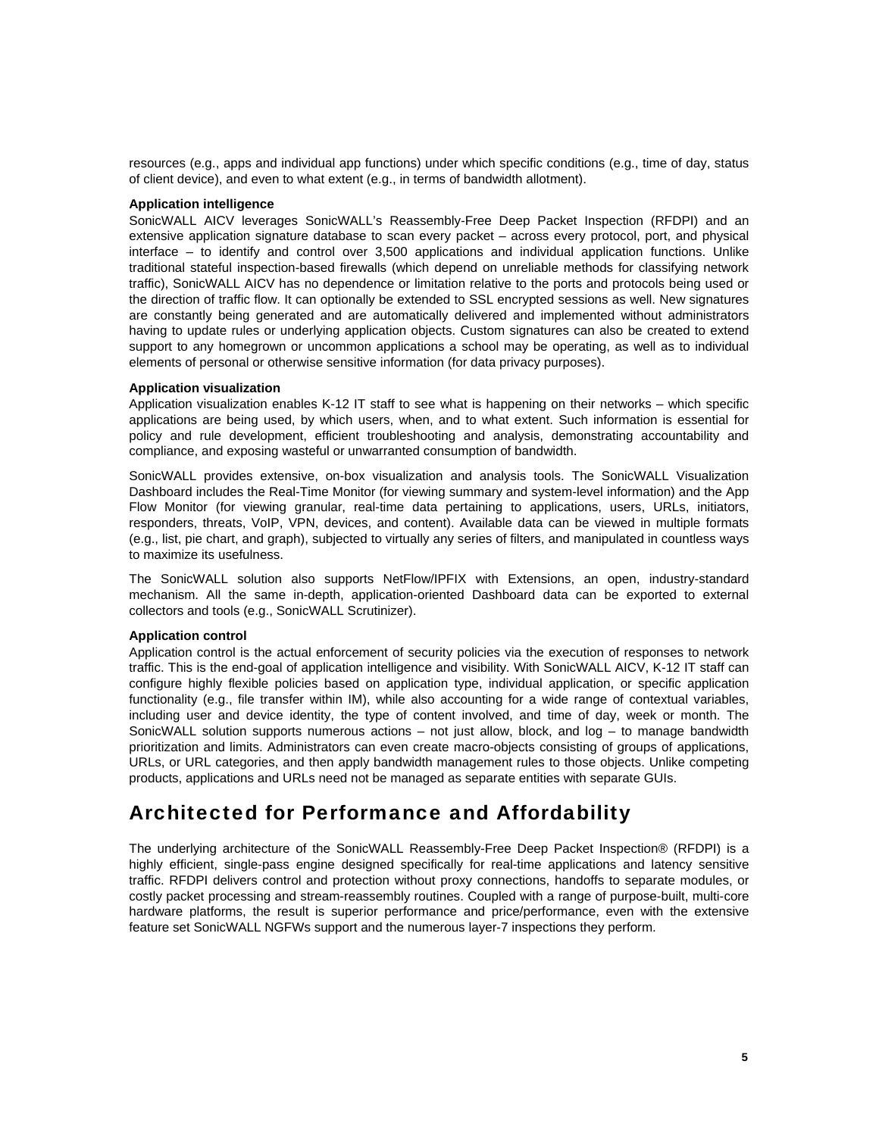resources (e.g., apps and individual app functions) under which specific conditions (e.g., time of day, status of client device), and even to what extent (e.g., in terms of bandwidth allotment).

#### **Application intelligence**

SonicWALL AICV leverages SonicWALL's Reassembly-Free Deep Packet Inspection (RFDPI) and an extensive application signature database to scan every packet – across every protocol, port, and physical interface – to identify and control over 3,500 applications and individual application functions. Unlike traditional stateful inspection-based firewalls (which depend on unreliable methods for classifying network traffic), SonicWALL AICV has no dependence or limitation relative to the ports and protocols being used or the direction of traffic flow. It can optionally be extended to SSL encrypted sessions as well. New signatures are constantly being generated and are automatically delivered and implemented without administrators having to update rules or underlying application objects. Custom signatures can also be created to extend support to any homegrown or uncommon applications a school may be operating, as well as to individual elements of personal or otherwise sensitive information (for data privacy purposes).

### **Application visualization**

Application visualization enables K-12 IT staff to see what is happening on their networks – which specific applications are being used, by which users, when, and to what extent. Such information is essential for policy and rule development, efficient troubleshooting and analysis, demonstrating accountability and compliance, and exposing wasteful or unwarranted consumption of bandwidth.

SonicWALL provides extensive, on-box visualization and analysis tools. The SonicWALL Visualization Dashboard includes the Real-Time Monitor (for viewing summary and system-level information) and the App Flow Monitor (for viewing granular, real-time data pertaining to applications, users, URLs, initiators, responders, threats, VoIP, VPN, devices, and content). Available data can be viewed in multiple formats (e.g., list, pie chart, and graph), subjected to virtually any series of filters, and manipulated in countless ways to maximize its usefulness.

The SonicWALL solution also supports NetFlow/IPFIX with Extensions, an open, industry-standard mechanism. All the same in-depth, application-oriented Dashboard data can be exported to external collectors and tools (e.g., SonicWALL Scrutinizer).

## **Application control**

Application control is the actual enforcement of security policies via the execution of responses to network traffic. This is the end-goal of application intelligence and visibility. With SonicWALL AICV, K-12 IT staff can configure highly flexible policies based on application type, individual application, or specific application functionality (e.g., file transfer within IM), while also accounting for a wide range of contextual variables, including user and device identity, the type of content involved, and time of day, week or month. The SonicWALL solution supports numerous actions – not just allow, block, and log – to manage bandwidth prioritization and limits. Administrators can even create macro-objects consisting of groups of applications, URLs, or URL categories, and then apply bandwidth management rules to those objects. Unlike competing products, applications and URLs need not be managed as separate entities with separate GUIs.

# Architected for Performance and Affordability

The underlying architecture of the SonicWALL Reassembly-Free Deep Packet Inspection® (RFDPI) is a highly efficient, single-pass engine designed specifically for real-time applications and latency sensitive traffic. RFDPI delivers control and protection without proxy connections, handoffs to separate modules, or costly packet processing and stream-reassembly routines. Coupled with a range of purpose-built, multi-core hardware platforms, the result is superior performance and price/performance, even with the extensive feature set SonicWALL NGFWs support and the numerous layer-7 inspections they perform.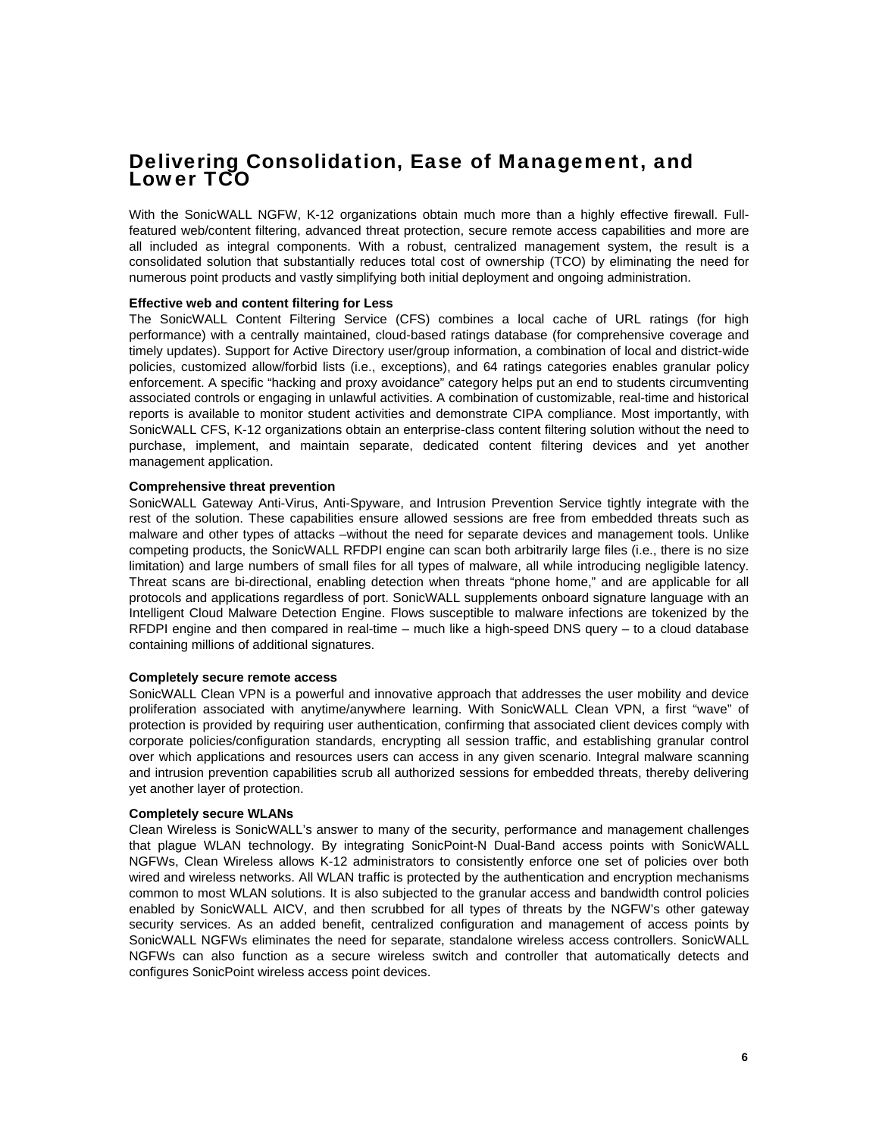# Delivering Consolidation, Ease of Management, and Lower TCO

With the SonicWALL NGFW, K-12 organizations obtain much more than a highly effective firewall. Fullfeatured web/content filtering, advanced threat protection, secure remote access capabilities and more are all included as integral components. With a robust, centralized management system, the result is a consolidated solution that substantially reduces total cost of ownership (TCO) by eliminating the need for numerous point products and vastly simplifying both initial deployment and ongoing administration.

### **Effective web and content filtering for Less**

The SonicWALL Content Filtering Service (CFS) combines a local cache of URL ratings (for high performance) with a centrally maintained, cloud-based ratings database (for comprehensive coverage and timely updates). Support for Active Directory user/group information, a combination of local and district-wide policies, customized allow/forbid lists (i.e., exceptions), and 64 ratings categories enables granular policy enforcement. A specific "hacking and proxy avoidance" category helps put an end to students circumventing associated controls or engaging in unlawful activities. A combination of customizable, real-time and historical reports is available to monitor student activities and demonstrate CIPA compliance. Most importantly, with SonicWALL CFS, K-12 organizations obtain an enterprise-class content filtering solution without the need to purchase, implement, and maintain separate, dedicated content filtering devices and yet another management application.

#### **Comprehensive threat prevention**

SonicWALL Gateway Anti-Virus, Anti-Spyware, and Intrusion Prevention Service tightly integrate with the rest of the solution. These capabilities ensure allowed sessions are free from embedded threats such as malware and other types of attacks –without the need for separate devices and management tools. Unlike competing products, the SonicWALL RFDPI engine can scan both arbitrarily large files (i.e., there is no size limitation) and large numbers of small files for all types of malware, all while introducing negligible latency. Threat scans are bi-directional, enabling detection when threats "phone home," and are applicable for all protocols and applications regardless of port. SonicWALL supplements onboard signature language with an Intelligent Cloud Malware Detection Engine. Flows susceptible to malware infections are tokenized by the RFDPI engine and then compared in real-time – much like a high-speed DNS query – to a cloud database containing millions of additional signatures.

### **Completely secure remote access**

SonicWALL Clean VPN is a powerful and innovative approach that addresses the user mobility and device proliferation associated with anytime/anywhere learning. With SonicWALL Clean VPN, a first "wave" of protection is provided by requiring user authentication, confirming that associated client devices comply with corporate policies/configuration standards, encrypting all session traffic, and establishing granular control over which applications and resources users can access in any given scenario. Integral malware scanning and intrusion prevention capabilities scrub all authorized sessions for embedded threats, thereby delivering yet another layer of protection.

#### **Completely secure WLANs**

Clean Wireless is SonicWALL's answer to many of the security, performance and management challenges that plague WLAN technology. By integrating SonicPoint-N Dual-Band access points with SonicWALL NGFWs, Clean Wireless allows K-12 administrators to consistently enforce one set of policies over both wired and wireless networks. All WLAN traffic is protected by the authentication and encryption mechanisms common to most WLAN solutions. It is also subjected to the granular access and bandwidth control policies enabled by SonicWALL AICV, and then scrubbed for all types of threats by the NGFW's other gateway security services. As an added benefit, centralized configuration and management of access points by SonicWALL NGFWs eliminates the need for separate, standalone wireless access controllers. SonicWALL NGFWs can also function as a secure wireless switch and controller that automatically detects and configures SonicPoint wireless access point devices.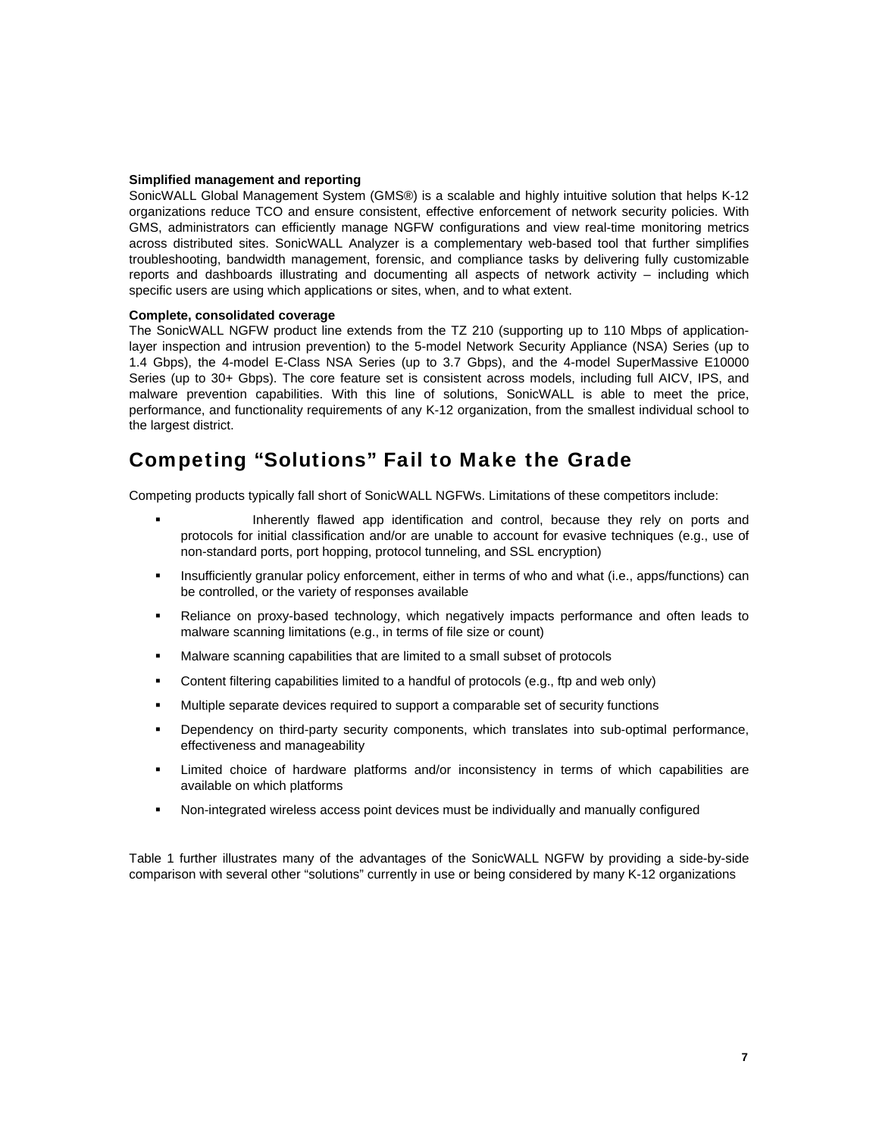#### **Simplified management and reporting**

SonicWALL Global Management System (GMS®) is a scalable and highly intuitive solution that helps K-12 organizations reduce TCO and ensure consistent, effective enforcement of network security policies. With GMS, administrators can efficiently manage NGFW configurations and view real-time monitoring metrics across distributed sites. SonicWALL Analyzer is a complementary web-based tool that further simplifies troubleshooting, bandwidth management, forensic, and compliance tasks by delivering fully customizable reports and dashboards illustrating and documenting all aspects of network activity – including which specific users are using which applications or sites, when, and to what extent.

### **Complete, consolidated coverage**

The SonicWALL NGFW product line extends from the TZ 210 (supporting up to 110 Mbps of applicationlayer inspection and intrusion prevention) to the 5-model Network Security Appliance (NSA) Series (up to 1.4 Gbps), the 4-model E-Class NSA Series (up to 3.7 Gbps), and the 4-model SuperMassive E10000 Series (up to 30+ Gbps). The core feature set is consistent across models, including full AICV, IPS, and malware prevention capabilities. With this line of solutions, SonicWALL is able to meet the price, performance, and functionality requirements of any K-12 organization, from the smallest individual school to the largest district.

# Competing "Solutions" Fail to Make the Grade

Competing products typically fall short of SonicWALL NGFWs. Limitations of these competitors include:

- Inherently flawed app identification and control, because they rely on ports and protocols for initial classification and/or are unable to account for evasive techniques (e.g., use of non-standard ports, port hopping, protocol tunneling, and SSL encryption)
- **Insufficiently granular policy enforcement, either in terms of who and what (i.e., apps/functions) can** be controlled, or the variety of responses available
- Reliance on proxy-based technology, which negatively impacts performance and often leads to malware scanning limitations (e.g., in terms of file size or count)
- Malware scanning capabilities that are limited to a small subset of protocols
- Content filtering capabilities limited to a handful of protocols (e.g., ftp and web only)
- Multiple separate devices required to support a comparable set of security functions
- Dependency on third-party security components, which translates into sub-optimal performance, effectiveness and manageability
- Limited choice of hardware platforms and/or inconsistency in terms of which capabilities are available on which platforms
- Non-integrated wireless access point devices must be individually and manually configured

Table 1 further illustrates many of the advantages of the SonicWALL NGFW by providing a side-by-side comparison with several other "solutions" currently in use or being considered by many K-12 organizations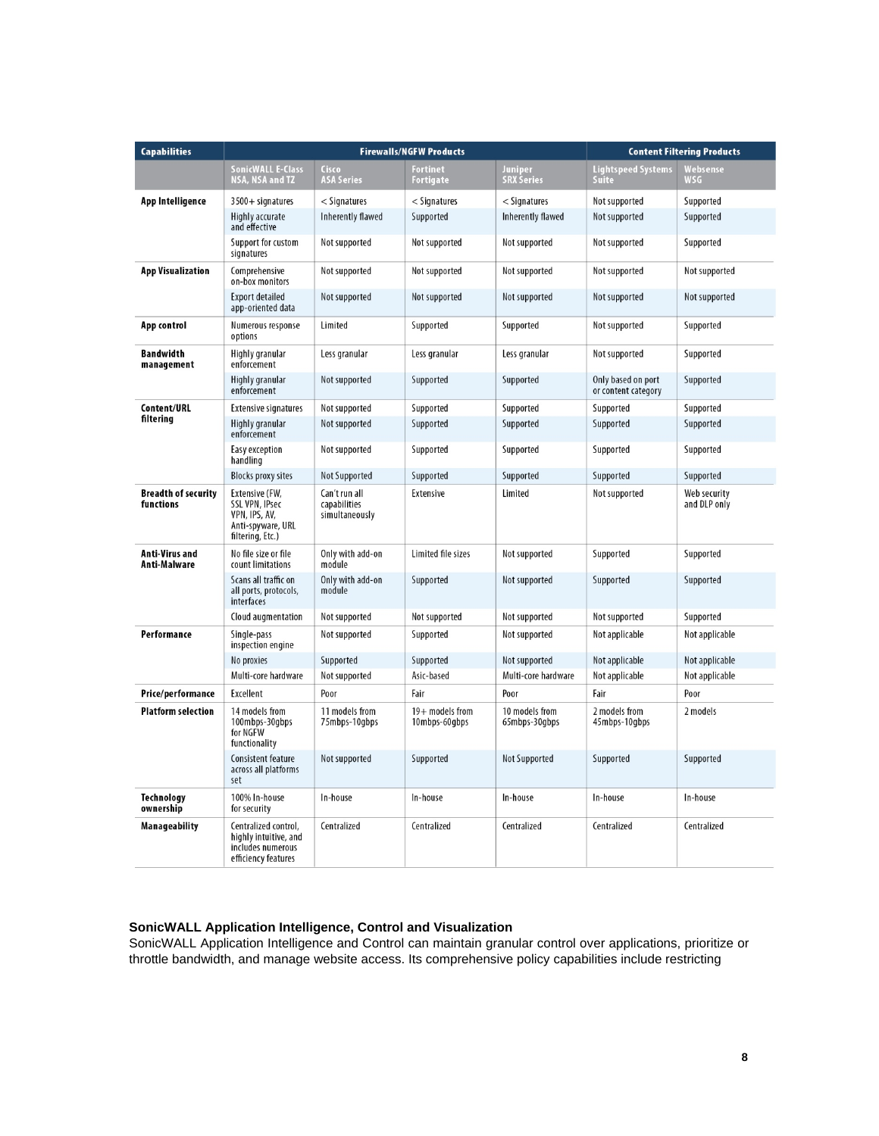| <b>Capabilities</b>                     | <b>Firewalls/NGFW Products</b>                                                                    |                                                 |                                     | <b>Content Filtering Products</b> |                                           |                              |
|-----------------------------------------|---------------------------------------------------------------------------------------------------|-------------------------------------------------|-------------------------------------|-----------------------------------|-------------------------------------------|------------------------------|
|                                         | <b>SonicWALL E-Class</b><br><b>NSA, NSA and TZ</b>                                                | Cisco<br><b>ASA Series</b>                      | <b>Fortinet</b><br><b>Fortigate</b> | Juniper<br><b>SRX Series</b>      | <b>Lightspeed Systems</b><br>Suite        | Websense<br><b>WSG</b>       |
| App Intelligence                        | $3500 +$ signatures                                                                               | < Signatures                                    | $<$ Signatures                      | $<$ Signatures                    | Not supported                             | Supported                    |
|                                         | Highly accurate<br>and effective                                                                  | Inherently flawed                               | Supported                           | <b>Inherently flawed</b>          | Not supported                             | Supported                    |
|                                         | Support for custom<br>signatures                                                                  | Not supported                                   | Not supported                       | Not supported                     | Not supported                             | Supported                    |
| <b>App Visualization</b>                | Comprehensive<br>on-box monitors                                                                  | Not supported                                   | Not supported                       | Not supported                     | Not supported                             | Not supported                |
|                                         | <b>Export detailed</b><br>app-oriented data                                                       | Not supported                                   | Not supported                       | Not supported                     | Not supported                             | Not supported                |
| App control                             | Numerous response<br>options                                                                      | Limited                                         | Supported                           | Supported                         | Not supported                             | Supported                    |
| Bandwidth<br>management                 | Highly granular<br>enforcement                                                                    | Less granular                                   | Less granular                       | Less granular                     | Not supported                             | Supported                    |
|                                         | Highly granular<br>enforcement                                                                    | Not supported                                   | Supported                           | Supported                         | Only based on port<br>or content category | Supported                    |
| <b>Content/URL</b>                      | <b>Extensive signatures</b>                                                                       | Not supported                                   | Supported                           | Supported                         | Supported                                 | Supported                    |
| filtering                               | Highly granular<br>enforcement                                                                    | Not supported                                   | Supported                           | Supported                         | Supported                                 | Supported                    |
|                                         | Easy exception<br>handling                                                                        | Not supported                                   | Supported                           | Supported                         | Supported                                 | Supported                    |
|                                         | <b>Blocks proxy sites</b>                                                                         | <b>Not Supported</b>                            | Supported                           | Supported                         | Supported                                 | Supported                    |
| <b>Breadth of security</b><br>functions | Extensive (FW,<br><b>SSL VPN, IPsec</b><br>VPN, IPS, AV,<br>Anti-spyware, URL<br>filtering, Etc.) | Can't run all<br>capabilities<br>simultaneously | Extensive                           | Limited                           | Not supported                             | Web security<br>and DLP only |
| Anti-Virus and<br>Anti-Malware          | No file size or file<br>count limitations                                                         | Only with add-on<br>module                      | Limited file sizes                  | Not supported                     | Supported                                 | Supported                    |
|                                         | Scans all traffic on<br>all ports, protocols,<br>interfaces                                       | Only with add-on<br>module                      | Supported                           | Not supported                     | Supported                                 | Supported                    |
|                                         | Cloud augmentation                                                                                | Not supported                                   | Not supported                       | Not supported                     | Not supported                             | Supported                    |
| Performance                             | Single-pass<br>inspection engine                                                                  | Not supported                                   | Supported                           | Not supported                     | Not applicable                            | Not applicable               |
|                                         | No proxies                                                                                        | Supported                                       | Supported                           | Not supported                     | Not applicable                            | Not applicable               |
|                                         | Multi-core hardware                                                                               | Not supported                                   | Asic-based                          | Multi-core hardware               | Not applicable                            | Not applicable               |
| Price/performance                       | Excellent                                                                                         | Poor                                            | Fair                                | Poor                              | Fair                                      | Poor                         |
| <b>Platform selection</b>               | 14 models from<br>100mbps-30gbps<br>for NGFW<br>functionality                                     | 11 models from<br>75mbps-10gbps                 | $19+$ models from<br>10mbps-60gbps  | 10 models from<br>65mbps-30gbps   | 2 models from<br>45mbps-10gbps            | 2 models                     |
|                                         | Consistent feature<br>across all platforms<br>set                                                 | Not supported                                   | Supported                           | Not Supported                     | Supported                                 | Supported                    |
| Technology<br>ownership                 | 100% In-house<br>for security                                                                     | In-house                                        | In-house                            | In-house                          | In-house                                  | In-house                     |
| Manageability                           | Centralized control,<br>highly intuitive, and<br>includes numerous<br>efficiency features         | Centralized                                     | Centralized                         | Centralized                       | Centralized                               | Centralized                  |

## **SonicWALL Application Intelligence, Control and Visualization**

SonicWALL Application Intelligence and Control can maintain granular control over applications, prioritize or throttle bandwidth, and manage website access. Its comprehensive policy capabilities include restricting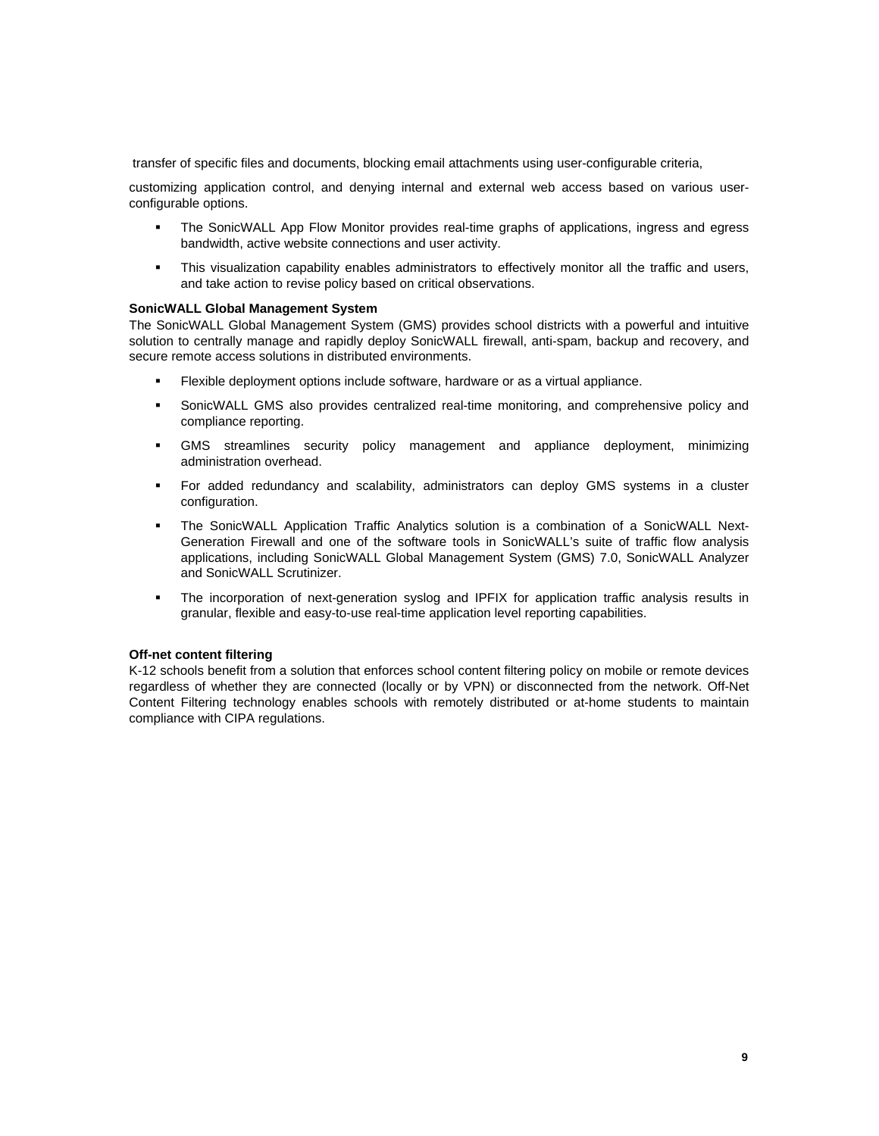transfer of specific files and documents, blocking email attachments using user-configurable criteria,

customizing application control, and denying internal and external web access based on various userconfigurable options.

- The SonicWALL App Flow Monitor provides real-time graphs of applications, ingress and egress bandwidth, active website connections and user activity.
- This visualization capability enables administrators to effectively monitor all the traffic and users, and take action to revise policy based on critical observations.

## **SonicWALL Global Management System**

The SonicWALL Global Management System (GMS) provides school districts with a powerful and intuitive solution to centrally manage and rapidly deploy SonicWALL firewall, anti-spam, backup and recovery, and secure remote access solutions in distributed environments.

- Flexible deployment options include software, hardware or as a virtual appliance.
- SonicWALL GMS also provides centralized real-time monitoring, and comprehensive policy and compliance reporting.
- GMS streamlines security policy management and appliance deployment, minimizing administration overhead.
- For added redundancy and scalability, administrators can deploy GMS systems in a cluster configuration.
- The SonicWALL Application Traffic Analytics solution is a combination of a SonicWALL Next-Generation Firewall and one of the software tools in SonicWALL's suite of traffic flow analysis applications, including SonicWALL Global Management System (GMS) 7.0, SonicWALL Analyzer and SonicWALL Scrutinizer.
- The incorporation of next-generation syslog and IPFIX for application traffic analysis results in granular, flexible and easy-to-use real-time application level reporting capabilities.

## **Off-net content filtering**

K-12 schools benefit from a solution that enforces school content filtering policy on mobile or remote devices regardless of whether they are connected (locally or by VPN) or disconnected from the network. Off-Net Content Filtering technology enables schools with remotely distributed or at-home students to maintain compliance with CIPA regulations.